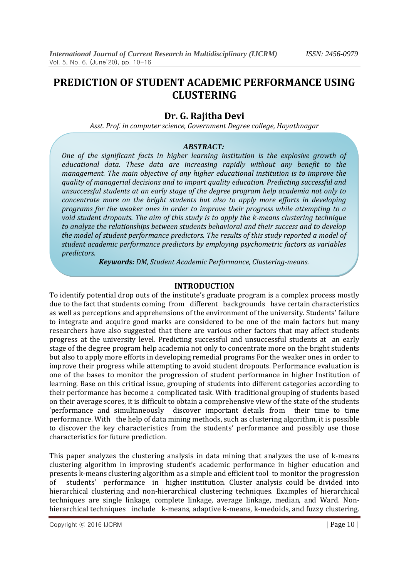# **PREDICTION OF STUDENT ACADEMIC PERFORMANCE USING CLUSTERING**

## **Dr. G. Rajitha Devi**

*Asst. Prof. in computer science, Government Degree college, Hayathnagar*

### *ABSTRACT:*

*One of the significant facts in higher learning institution is the explosive growth of educational data. These data are increasing rapidly without any benefit to the management. The main objective of any higher educational institution is to improve the quality of managerial decisions and to impart quality education. Predicting successful and unsuccessful students at an early stage of the degree program help academia not only to concentrate more on the bright students but also to apply more efforts in developing programs for the weaker ones in order to improve their progress while attempting to a void student dropouts. The aim of this study is to apply the k-means clustering technique to analyze the relationships between students behavioral and their success and to develop the model of student performance predictors. The results of this study reported a model of student academic performance predictors by employing psychometric factors as variables predictors.*

*Keywords: DM, Student Academic Performance, Clustering-means.*

### **INTRODUCTION**

To identify potential drop outs of the institute's graduate program is a complex process mostly due to the fact that students coming from different backgrounds have certain characteristics as well as perceptions and apprehensions of the environment of the university. Students' failure to integrate and acquire good marks are considered to be one of the main factors but many researchers have also suggested that there are various other factors that may affect students progress at the university level. Predicting successful and unsuccessful students at an early stage of the degree program help academia not only to concentrate more on the bright students but also to apply more efforts in developing remedial programs For the weaker ones in order to improve their progress while attempting to avoid student dropouts. Performance evaluation is one of the bases to monitor the progression of student performance in higher Institution of learning. Base on this critical issue, grouping of students into different categories according to their performance has become a complicated task. With traditional grouping of students based on their average scores, it is difficult to obtain a comprehensive view of the state of the students 'performance and simultaneously discover important details from their time to time performance. With the help of data mining methods, such as clustering algorithm, it is possible to discover the key characteristics from the students' performance and possibly use those characteristics for future prediction.

This paper analyzes the clustering analysis in data mining that analyzes the use of k-means clustering algorithm in improving student's academic performance in higher education and presents k-means clustering algorithm as a simple and efficient tool to monitor the progression of students' performance in higher institution. Cluster analysis could be divided into hierarchical clustering and non-hierarchical clustering techniques. Examples of hierarchical techniques are single linkage, complete linkage, average linkage, median, and Ward. Nonhierarchical techniques include k-means, adaptive k-means, k-medoids, and fuzzy clustering.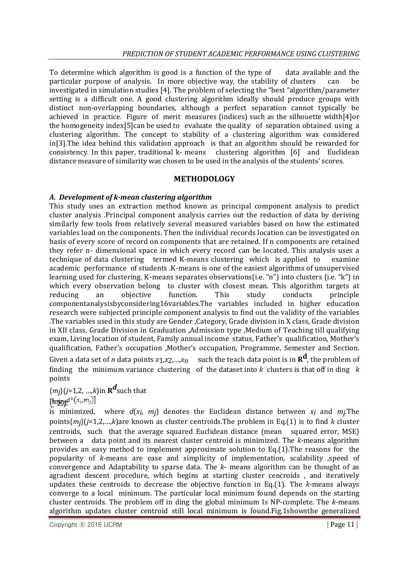To determine which algorithm is good is a function of the type of data available and the particular purpose of analysis. In more objective way, the stability of clusters can be investigated in simulation studies [4]. The problem of selecting the "best "algorithm/parameter setting is a difficult one. A good clustering algorithm ideally should produce groups with distinct non-overlapping boundaries, although a perfect separation cannot typically be achieved in practice. Figure of merit measures (indices) such as the silhouette width[4]or the homogeneity index[5]can be used to evaluate the quality of separation obtained using a clustering algorithm. The concept to stability of a clustering algorithm was considered in[3].The idea behind this validation approach is that an algorithm should be rewarded for consistency. In this paper, traditional k- means clustering algorithm [6] and Euclidean distance measure of similarity was chosen to be used in the analysis of the students' scores.

#### **METHODOLOGY**

#### *A. Development of k-mean clustering algorithm*

This study uses an extraction method known as principal component analysis to predict cluster analysis .Principal component analysis carries out the reduction of data by deriving similarly few tools from relatively several measured variables based on how the estimated variables load on the components. Then the individual records location can be investigated on basis of every score of record on components that are retained. If n components are retained they refer n- dimensional space in which every record can be located. This analysis uses a technique of data clustering termed K-means clustering which is applied to examine academic performance of students .K-means is one of the easiest algorithms of unsupervised learning used for clustering. K-means separates observations(i.e. "n") into clusters (i.e. "k") in which every observation belong to cluster with closest mean. This algorithm targets at reducing an objective function. This study conducts principle componentanalysisbyconsidering16variables.The variables included in higher education research were subjected principle component analysis to find out the validity of the variables .The variables used in this study are Gender ,Category, Grade division in X class, Grade division in XII class, Grade Division in Graduation ,Admission type ,Medium of Teaching till qualifying exam, Living location of student, Family annual income status, Father's qualification, Mother's qualification, Father's occupation ,Mother's occupation, Programme, Semester and Section.

Given a data set of *n* data points  $x_1, x_2, ..., x_n$  such the teach data point is in  $\mathbf{R}^d$ , the problem of finding the minimum variance clustering of the dataset into *k* clusters is that off in ding *k*  points

{*mj*}(*j*=1,2, …,*k*)in **R** *d* such that [mini

is minimized, where *d*(*xi* , *mj*) denotes the Euclidean distance between *xi* and *mj .*The points{*mj*}(*j*=1,2,…,*k*)are known as cluster centroids.The problem in Eq.(1) is to find *k* cluster centroids, such that the average squared Euclidean distance (mean squared error, MSE) between a data point and its nearest cluster centroid is minimized. The *k*-means algorithm provides an easy method to implement approximate solution to Eq.(1).The reasons for the popularity of *k*-means are ease and simplicity of implementation, scalability ,speed of convergence and Adaptability to sparse data. The *k*- means algorithm can be thought of as agradient descent procedure, which begins at starting cluster cencroids , and iteratively updates these centroids to decrease the objective function in Eq.(1). The *k*-means always converge to a local minimum. The particular local minimum found depends on the starting cluster centroids. The problem off in ding the global minimum Is NP-complete. The *k*-means algorithm updates cluster centroid still local minimum is found.Fig.1showsthe generalized

Copyright © 2016 IJCRM | Page 11 | Page 11 | Page 11 | Page 11 | Page 11 | Page 11 | Page 11 | Page 11 | Page 11 | Page 11 | Page 11 | Page 11 | Page 11 | Page 11 | Page 11 | Page 11 | Page 11 | Page 11 | Page 11 | Page 11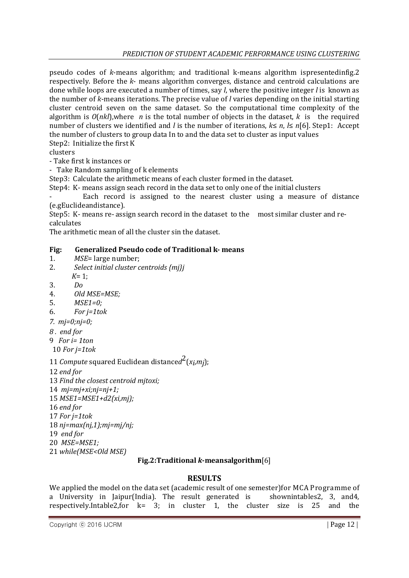pseudo codes of *k*-means algorithm; and traditional k-means algorithm ispresentedinfig.2 respectively. Before the *k*- means algorithm converges, distance and centroid calculations are done while loops are executed a number of times, say *l*, where the positive integer *l* is known as the number of *k*-means iterations. The precise value of *l* varies depending on the initial starting cluster centroid seven on the same dataset. So the computational time complexity of the algorithm is  $O(nk)$ , where *n* is the total number of objects in the dataset, *k* is the required number of clusters we identified and *l* is the number of iterations, *k*≤ *n*, *l*≤ *n*[6]. Step1: Accept the number of clusters to group data In to and the data set to cluster as input values Step2: Initialize the first K

clusters

- Take first k instances or

- Take Random sampling of k elements

Step3: Calculate the arithmetic means of each cluster formed in the dataset.

Step4: K- means assign seach record in the data set to only one of the initial clusters

Each record is assigned to the nearest cluster using a measure of distance (e.gEuclideandistance).

Step5: K- means re- assign search record in the dataset to the most similar cluster and recalculates

The arithmetic mean of all the cluster sin the dataset.

#### **Fig: Generalized Pseudo code of Traditional k- means**

- 1. *MSE*= large number;
- 2. *Select initial cluster centroids {mj}j*
- *K*= 1;
- 3. *Do*
- 4. *Old MSE=MSE;*
- 5. *MSE1=0;*
- 6. *For j=1tok*
- *7. mj=0;nj=0;*
- *8 . end for*
- 9 *For i= 1ton*
- 10 *For j=1tok*
- 11 *Compute* squared Euclidean distance*d* 2 (*xi* ,*mj*);
- 12 *end for*
- 13 *Find the closest centroid mjtoxi;*
- 14 *mj=mj+xi;nj=nj+1;*
- 15 *MSE1=MSE1+d2(xi,mj);*
- 16 *end for*
- 17 *For j=1tok*
- 18 *nj=max(nj,1);mj=mj/nj;*
- 19 *end for*
- 20 *MSE=MSE1;*
- 21 *while(MSE<Old MSE)*

### **Fig.2:Traditional** *k***-meansalgorithm**[6]

### **RESULTS**

We applied the model on the data set (academic result of one semester)for MCA Programme of a University in Jaipur(India). The result generated is shownintables2, 3, and4, respectively.Intable2,for k= 3; in cluster 1, the cluster size is 25 and the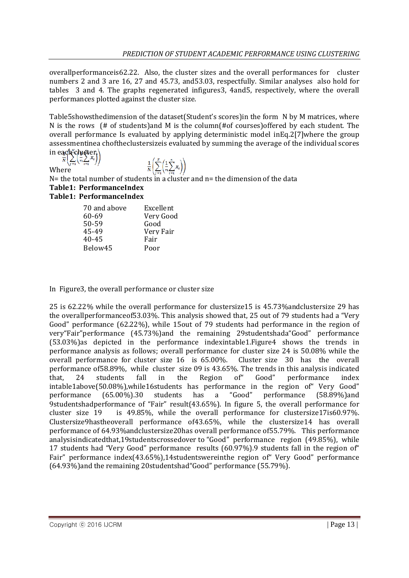overallperformanceis62.22. Also, the cluster sizes and the overall performances for cluster numbers 2 and 3 are 16, 27 and 45.73, and53.03, respectfully. Similar analyses also hold for tables 3 and 4. The graphs regenerated infigures3, 4and5, respectively, where the overall performances plotted against the cluster size.

Table5showsthedimension of the dataset(Student's scores)in the form N by M matrices, where N is the rows (# of students)and M is the column(#of courses)offered by each student. The overall performance Is evaluated by applying deterministic model inEq.2[7]where the group assessmentinea choftheclustersizeis evaluated by summing the average of the individual scores in each cluster.

Where

 $\frac{1}{N}\left(\sum_{i=1}^N\left(\frac{1}{n}\sum_{i=1}^n x_i\right)\right)$ 

 $N=$  the total number of students in a cluster and  $n=$  the dimension of the data **Table1: PerformanceIndex**

## **Table1: PerformanceIndex**

| 70 and above | Excellent |
|--------------|-----------|
| 60-69        | Very Good |
| 50-59        | Good      |
| 45-49        | Very Fair |
| $40 - 45$    | Fair      |
| Below45      | Poor      |

In Figure3, the overall performance or cluster size

25 is 62.22% while the overall performance for clustersize15 is 45.73%andclustersize 29 has the overallperformanceof53.03%. This analysis showed that, 25 out of 79 students had a "Very Good" performance (62.22%), while 15out of 79 students had performance in the region of very"Fair"performance (45.73%)and the remaining 29studentshada"Good" performance (53.03%)as depicted in the performance indexintable1.Figure4 shows the trends in performance analysis as follows; overall performance for cluster size 24 is 50.08% while the overall performance for cluster size 16 is 65.00%. Cluster size 30 has the overall performance of58.89%, while cluster size 09 is 43.65%. The trends in this analysis indicated that, 24 students fall in the Region of" Good" performance index intable1above(50.08%),while16students has performance in the region of" Very Good" performance (65.00%).30 students has a "Good" performance (58.89%)and 9studentshadperformance of "Fair" result(43.65%). In figure 5, the overall performance for cluster size 19 is 49.85%, while the overall performance for clustersize17is60.97%. Clustersize9hastheoverall performance of43.65%, while the clustersize14 has overall performance of 64.93%andclustersize20has overall performance of55.79%. This performance analysisindicatedthat,19studentscrossedover to "Good" performance region (49.85%), while 17 students had "Very Good" performance results (60.97%).9 students fall in the region of" Fair" performance index(43.65%),14studentswereinthe region of" Very Good" performance (64.93%)and the remaining 20studentshad"Good" performance (55.79%).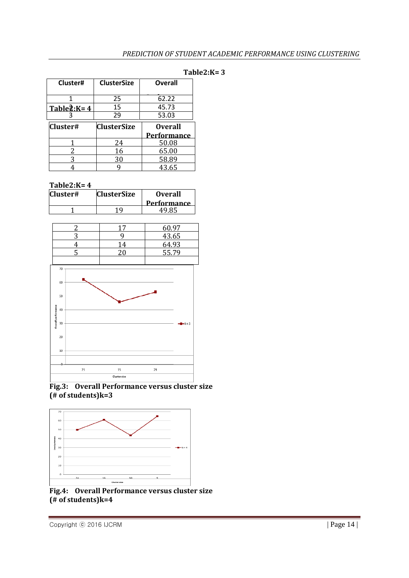| Cluster#             | <b>ClusterSize</b> | <b>Overall</b> |
|----------------------|--------------------|----------------|
|                      | 25                 | 62.22          |
| Table $\hat{2}$ :K=4 | 15                 | 45.73          |
|                      | 29                 | 53.03          |
| Cluster#             | <b>ClusterSize</b> | <b>Overall</b> |
|                      |                    |                |
|                      |                    | Performance    |
|                      | 24                 | 50.08          |
|                      | 16                 | 65.00          |
|                      | 30                 | 58.89          |

#### **Table2:K= 3**

**Table2:K= 4**

| Cluster# | <b>ClusterSize</b> | <b>Overall</b><br><b>Performance</b> |
|----------|--------------------|--------------------------------------|
|          |                    | 49 X ¤                               |



#### **Fig.3: Overall Performance versus cluster size (# of students)k=3**



**Fig.4: Overall Performance versus cluster size (# of students)k=4**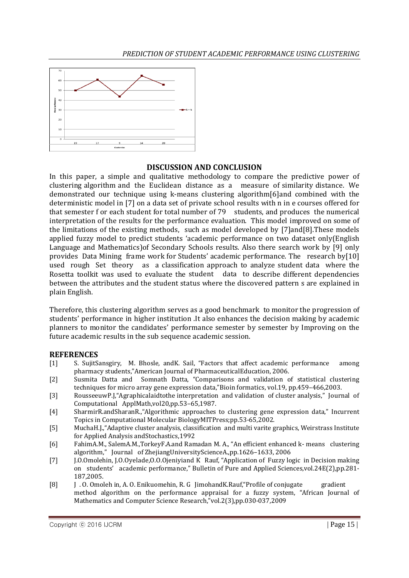

### **DISCUSSION AND CONCLUSION**

In this paper, a simple and qualitative methodology to compare the predictive power of clustering algorithm and the Euclidean distance as a measure of similarity distance. We demonstrated our technique using k-means clustering algorithm[6]and combined with the deterministic model in [7] on a data set of private school results with n in e courses offered for that semester f or each student for total number of 79 students, and produces the numerical interpretation of the results for the performance evaluation. This model improved on some of the limitations of the existing methods, such as model developed by [7]and[8].These models applied fuzzy model to predict students 'academic performance on two dataset only(English Language and Mathematics)of Secondary Schools results. Also there search work by [9] only provides Data Mining frame work for Students' academic performance. The research by[10] used rough Set theory as a classification approach to analyze student data where the Rosetta toolkit was used to evaluate the student data to describe different dependencies between the attributes and the student status where the discovered pattern s are explained in plain English.

Therefore, this clustering algorithm serves as a good benchmark to monitor the progression of students' performance in higher institution .It also enhances the decision making by academic planners to monitor the candidates' performance semester by semester by Improving on the future academic results in the sub sequence academic session.

### **REFERENCES**

- [1] S. SujitSansgiry, M. Bhosle, andK. Sail, "Factors that affect academic performance among pharmacy students,"American Journal of PharmaceuticalEducation, 2006.
- [2] Susmita Datta and Somnath Datta, "Comparisons and validation of statistical clustering techniques for micro array gene expression data,"Bioin formatics, vol.19, pp.459–466,2003.
- [3] RousseeuwP.J,"Agraphicalaidtothe interpretation and validation of cluster analysis," Journal of Computational ApplMath,vol20,pp.53–65,1987.
- [4] SharmirR.andSharanR.,"Algorithmic approaches to clustering gene expression data," Incurrent Topics in Computational Molecular BiologyMITPress;pp.53-65,2002.
- [5] MuchaH.J.,"Adaptive cluster analysis, classification and multi varite graphics, Weirstrass Institute for Applied Analysis andStochastics,1992
- [6] FahimA.M., SalemA.M.,TorkeyF.A.and Ramadan M. A., "An efficient enhanced k- means clustering algorithm," Journal of ZhejiangUniversityScienceA.,pp.1626–1633, 2006
- [7] J.O.Omolehin, J.O.Oyelade,O.O.Ojeniyiand K Rauf, "Application of Fuzzy logic in Decision making on students' academic performance," Bulletin of Pure and Applied Sciences,vol.24E(2),pp.281- 187,2005.
- [8] J . O. Omoleh in, A. O. Enikuomehin, R. G JimohandK.Rauf,"Profile of conjugate gradient method algorithm on the performance appraisal for a fuzzy system, "African Journal of Mathematics and Computer Science Research,"vol.2(3),pp.030-037,2009